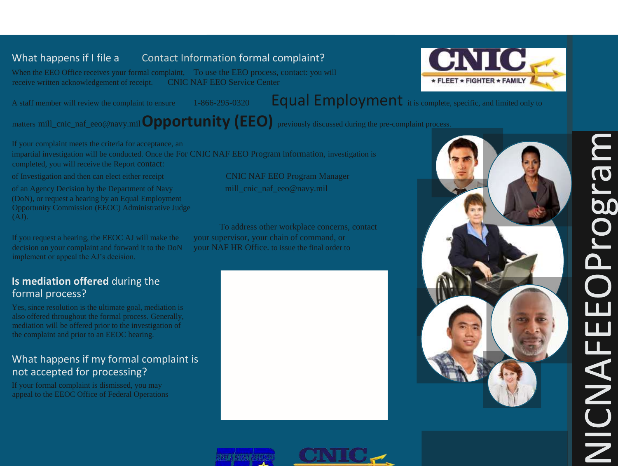### What happens if I file a Contact Information formal complaint?

When the EEO Office receives your formal complaint, To use the EEO process, contact: you will receive written acknowledgement of receipt. CNIC NAF EEO Service Center

# A staff member will review the complaint to ensure  $1-866-295-0320$  Equal Employment it is complete, specific, and limited only to

matters mill\_cnic\_naf\_eeo@navy.mil**Opportunity (EEO)** previously discussed during the pre-complaint process.

If your complaint meets the criteria for acceptance, an impartial investigation will be conducted. Once the For CNIC NAF EEO Program information, investigation is completed, you will receive the Report contact:

of Investigation and then can elect either receipt CNIC NAF EEO Program Manager

of an Agency Decision by the Department of Navy mill\_cnic\_naf\_eeo@navy.mil (DoN), or request a hearing by an Equal Employment Opportunity Commission (EEOC) Administrative Judge (AJ).

If you request a hearing, the EEOC AJ will make the your supervisor, your chain of command, or decision on your complaint and forward it to the DoN your NAF HR Office, to issue the final order to implement or appeal the AJ's decision.

# **Is mediation offered** during the formal process?

Yes, since resolution is the ultimate goal, mediation is also offered throughout the formal process. Generally, mediation will be offered prior to the investigation of the complaint and prior to an EEOC hearing.

# What happens if my formal complaint is not accepted for processing?

If your formal complaint is dismissed, you may appeal to the EEOC Office of Federal Operations

To address other workplace concerns, contact







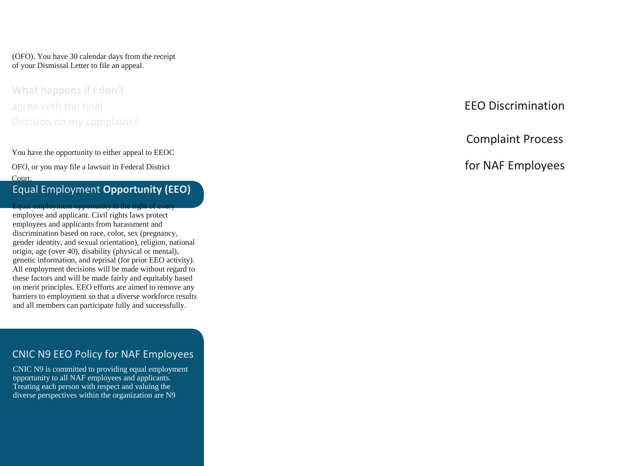(OFO). You have 30 calendar days from the receipt of your Dismissal Letter to file an appeal.

# **What happens if I don't**  agree with the final **EEO Discrimination** Decision on my complaint?

You have the opportunity to either appeal to EEOC OFO, or you may file a lawsuit in Federal District **for NAF Employees** Court. Equal Employment **Opportunity (EEO)** Equal employment opportunity is the right of every

employee and applicant. Civil rights laws protect employees and applicants from harassment and discrimination based on race, color, sex (pregnancy, gender identity, and sexual orientation), religion, national origin, age (over 40), disability (physical or mental), genetic information, and reprisal (for prior EEO activity). All employment decisions will be made without regard to these factors and will be made fairly and equitably based on merit principles. EEO efforts are aimed to remove any barriers to employment so that a diverse workforce results and all members can participate fully and successfully.

#### CNIC N9 EEO Policy for NAF Employees

CNIC N9 is committed to providing equal employment opportunity to all NAF employees and applicants. Treating each person with respect and valuing the diverse perspectives within the organization are N9

#### Complaint Process